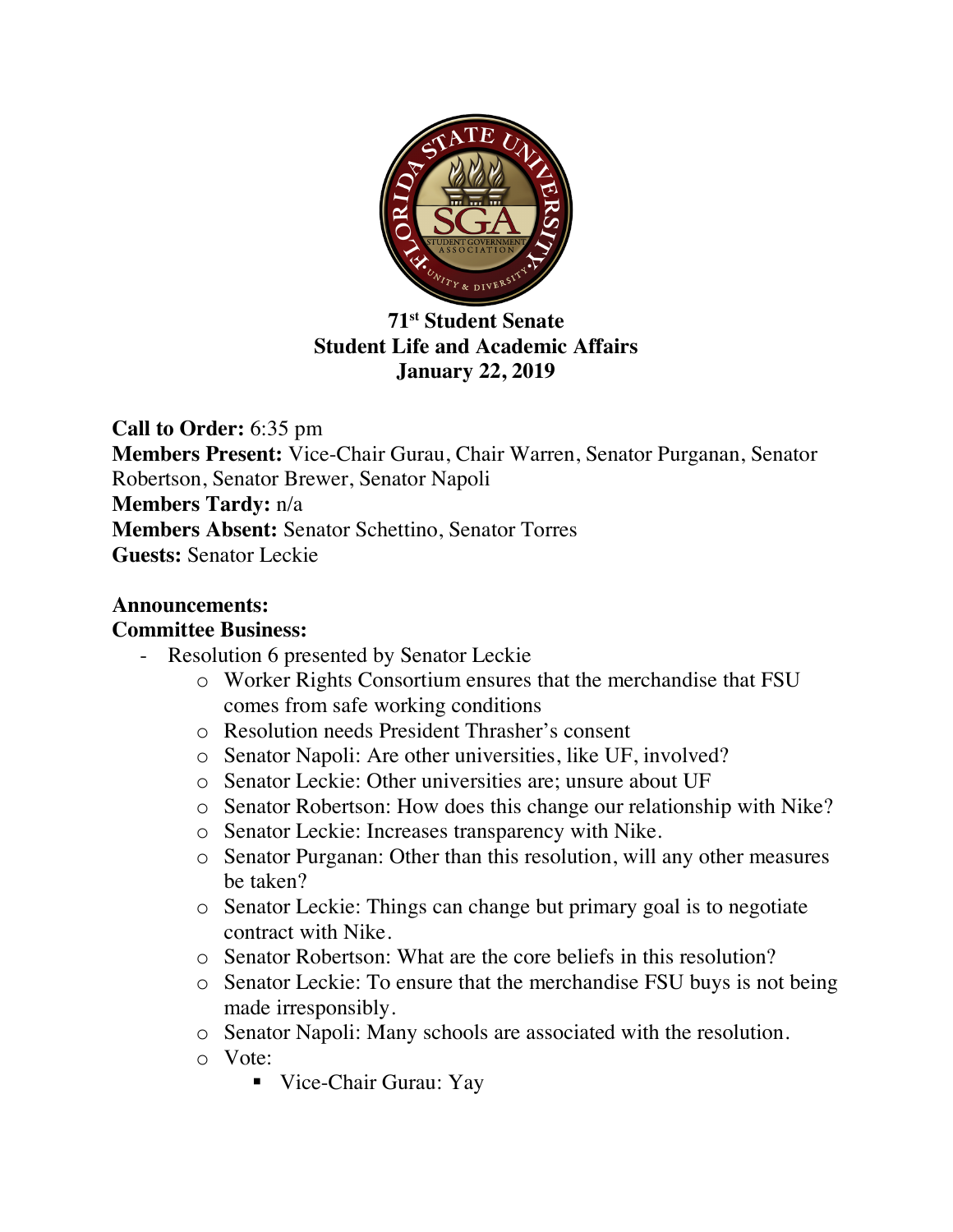

**71st Student Senate Student Life and Academic Affairs January 22, 2019**

**Call to Order:** 6:35 pm **Members Present:** Vice-Chair Gurau, Chair Warren, Senator Purganan, Senator Robertson, Senator Brewer, Senator Napoli **Members Tardy:** n/a **Members Absent:** Senator Schettino, Senator Torres **Guests:** Senator Leckie

## **Announcements:**

## **Committee Business:**

- Resolution 6 presented by Senator Leckie
	- o Worker Rights Consortium ensures that the merchandise that FSU comes from safe working conditions
	- o Resolution needs President Thrasher's consent
	- o Senator Napoli: Are other universities, like UF, involved?
	- o Senator Leckie: Other universities are; unsure about UF
	- o Senator Robertson: How does this change our relationship with Nike?
	- o Senator Leckie: Increases transparency with Nike.
	- o Senator Purganan: Other than this resolution, will any other measures be taken?
	- o Senator Leckie: Things can change but primary goal is to negotiate contract with Nike.
	- o Senator Robertson: What are the core beliefs in this resolution?
	- o Senator Leckie: To ensure that the merchandise FSU buys is not being made irresponsibly.
	- o Senator Napoli: Many schools are associated with the resolution.
	- o Vote:
		- Vice-Chair Gurau: Yay